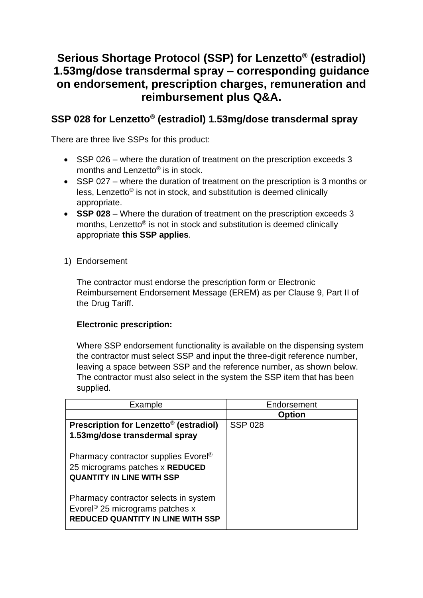# **Serious Shortage Protocol (SSP) for Lenzetto® (estradiol) 1.53mg/dose transdermal spray – corresponding guidance on endorsement, prescription charges, remuneration and reimbursement plus Q&A.**

# **SSP 028 for Lenzetto® (estradiol) 1.53mg/dose transdermal spray**

There are three live SSPs for this product:

- SSP 026 where the duration of treatment on the prescription exceeds 3 months and Lenzetto® is in stock.
- SSP 027 where the duration of treatment on the prescription is 3 months or less, Lenzetto® is not in stock, and substitution is deemed clinically appropriate.
- **SSP 028** Where the duration of treatment on the prescription exceeds 3 months, Lenzetto® is not in stock and substitution is deemed clinically appropriate **this SSP applies**.
- 1) Endorsement

The contractor must endorse the prescription form or Electronic Reimbursement Endorsement Message (EREM) as per Clause 9, Part II of the Drug Tariff.

# **Electronic prescription:**

Where SSP endorsement functionality is available on the dispensing system the contractor must select SSP and input the three-digit reference number, leaving a space between SSP and the reference number, as shown below. The contractor must also select in the system the SSP item that has been supplied.

| Endorsement    |
|----------------|
| <b>Option</b>  |
| <b>SSP 028</b> |
|                |
|                |
|                |
|                |
|                |
|                |
|                |
|                |
|                |
|                |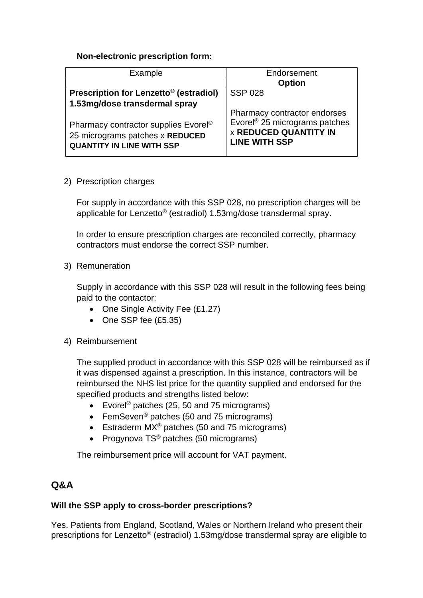# **Non-electronic prescription form:**

| Example                                                                                                                 | Endorsement                                                                                                                       |  |  |
|-------------------------------------------------------------------------------------------------------------------------|-----------------------------------------------------------------------------------------------------------------------------------|--|--|
|                                                                                                                         | <b>Option</b>                                                                                                                     |  |  |
| Prescription for Lenzetto <sup>®</sup> (estradiol)                                                                      | <b>SSP 028</b>                                                                                                                    |  |  |
| 1.53mg/dose transdermal spray                                                                                           |                                                                                                                                   |  |  |
| Pharmacy contractor supplies Evorel <sup>®</sup><br>25 micrograms patches x REDUCED<br><b>QUANTITY IN LINE WITH SSP</b> | Pharmacy contractor endorses<br>Evorel <sup>®</sup> 25 micrograms patches<br><b>x REDUCED QUANTITY IN</b><br><b>LINE WITH SSP</b> |  |  |

2) Prescription charges

For supply in accordance with this SSP 028, no prescription charges will be applicable for Lenzetto® (estradiol) 1.53mg/dose transdermal spray.

In order to ensure prescription charges are reconciled correctly, pharmacy contractors must endorse the correct SSP number.

3) Remuneration

Supply in accordance with this SSP 028 will result in the following fees being paid to the contactor:

- One Single Activity Fee (£1.27)
- One SSP fee (£5.35)
- 4) Reimbursement

The supplied product in accordance with this SSP 028 will be reimbursed as if it was dispensed against a prescription. In this instance, contractors will be reimbursed the NHS list price for the quantity supplied and endorsed for the specified products and strengths listed below:

- Evorel<sup>®</sup> patches (25, 50 and 75 micrograms)
- FemSeven<sup>®</sup> patches (50 and 75 micrograms)
- Estraderm MX<sup>®</sup> patches (50 and 75 micrograms)
- Progynova TS<sup>®</sup> patches (50 micrograms)

The reimbursement price will account for VAT payment.

# **Q&A**

#### **Will the SSP apply to cross-border prescriptions?**

Yes. Patients from England, Scotland, Wales or Northern Ireland who present their prescriptions for Lenzetto® (estradiol) 1.53mg/dose transdermal spray are eligible to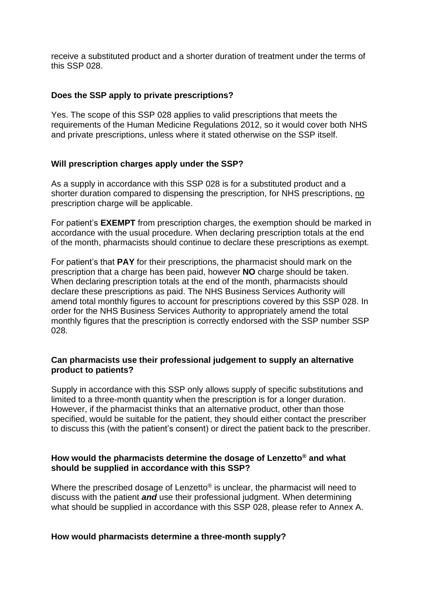receive a substituted product and a shorter duration of treatment under the terms of this SSP 028.

#### **Does the SSP apply to private prescriptions?**

Yes. The scope of this SSP 028 applies to valid prescriptions that meets the requirements of the Human Medicine Regulations 2012, so it would cover both NHS and private prescriptions, unless where it stated otherwise on the SSP itself.

### **Will prescription charges apply under the SSP?**

As a supply in accordance with this SSP 028 is for a substituted product and a shorter duration compared to dispensing the prescription, for NHS prescriptions, no prescription charge will be applicable.

For patient's **EXEMPT** from prescription charges, the exemption should be marked in accordance with the usual procedure. When declaring prescription totals at the end of the month, pharmacists should continue to declare these prescriptions as exempt.

For patient's that **PAY** for their prescriptions, the pharmacist should mark on the prescription that a charge has been paid, however **NO** charge should be taken. When declaring prescription totals at the end of the month, pharmacists should declare these prescriptions as paid. The NHS Business Services Authority will amend total monthly figures to account for prescriptions covered by this SSP 028. In order for the NHS Business Services Authority to appropriately amend the total monthly figures that the prescription is correctly endorsed with the SSP number SSP 028.

#### **Can pharmacists use their professional judgement to supply an alternative product to patients?**

Supply in accordance with this SSP only allows supply of specific substitutions and limited to a three-month quantity when the prescription is for a longer duration. However, if the pharmacist thinks that an alternative product, other than those specified, would be suitable for the patient, they should either contact the prescriber to discuss this (with the patient's consent) or direct the patient back to the prescriber.

#### **How would the pharmacists determine the dosage of Lenzetto® and what should be supplied in accordance with this SSP?**

Where the prescribed dosage of Lenzetto<sup>®</sup> is unclear, the pharmacist will need to discuss with the patient *and* use their professional judgment. When determining what should be supplied in accordance with this SSP 028, please refer to Annex A.

#### **How would pharmacists determine a three-month supply?**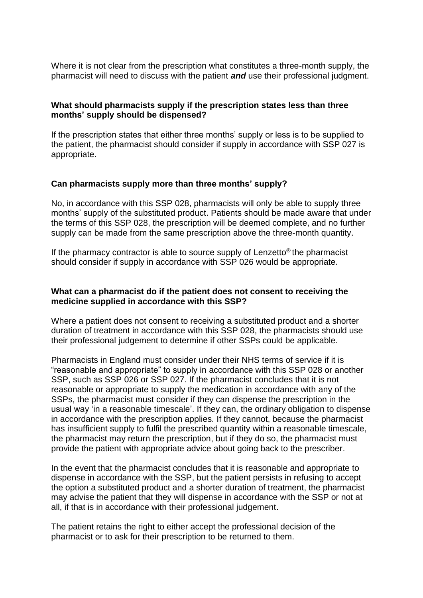Where it is not clear from the prescription what constitutes a three-month supply, the pharmacist will need to discuss with the patient *and* use their professional judgment.

#### **What should pharmacists supply if the prescription states less than three months' supply should be dispensed?**

If the prescription states that either three months' supply or less is to be supplied to the patient, the pharmacist should consider if supply in accordance with SSP 027 is appropriate.

#### **Can pharmacists supply more than three months' supply?**

No, in accordance with this SSP 028, pharmacists will only be able to supply three months' supply of the substituted product. Patients should be made aware that under the terms of this SSP 028, the prescription will be deemed complete, and no further supply can be made from the same prescription above the three-month quantity.

If the pharmacy contractor is able to source supply of Lenzetto<sup>®</sup> the pharmacist should consider if supply in accordance with SSP 026 would be appropriate.

#### **What can a pharmacist do if the patient does not consent to receiving the medicine supplied in accordance with this SSP?**

Where a patient does not consent to receiving a substituted product and a shorter duration of treatment in accordance with this SSP 028, the pharmacists should use their professional judgement to determine if other SSPs could be applicable.

Pharmacists in England must consider under their NHS terms of service if it is "reasonable and appropriate" to supply in accordance with this SSP 028 or another SSP, such as SSP 026 or SSP 027. If the pharmacist concludes that it is not reasonable or appropriate to supply the medication in accordance with any of the SSPs, the pharmacist must consider if they can dispense the prescription in the usual way 'in a reasonable timescale'. If they can, the ordinary obligation to dispense in accordance with the prescription applies. If they cannot, because the pharmacist has insufficient supply to fulfil the prescribed quantity within a reasonable timescale, the pharmacist may return the prescription, but if they do so, the pharmacist must provide the patient with appropriate advice about going back to the prescriber.

In the event that the pharmacist concludes that it is reasonable and appropriate to dispense in accordance with the SSP, but the patient persists in refusing to accept the option a substituted product and a shorter duration of treatment, the pharmacist may advise the patient that they will dispense in accordance with the SSP or not at all, if that is in accordance with their professional judgement.

The patient retains the right to either accept the professional decision of the pharmacist or to ask for their prescription to be returned to them.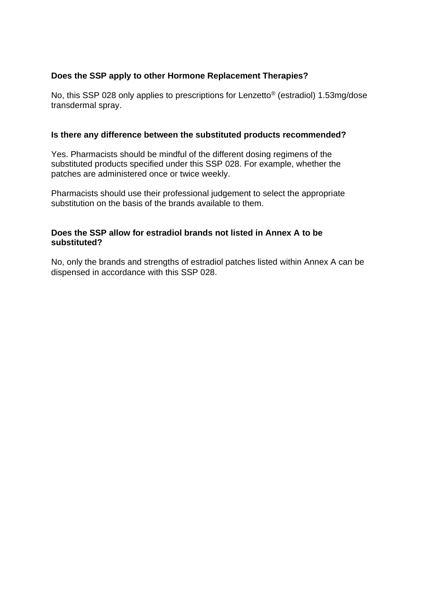#### **Does the SSP apply to other Hormone Replacement Therapies?**

No, this SSP 028 only applies to prescriptions for Lenzetto® (estradiol) 1.53mg/dose transdermal spray.

#### **Is there any difference between the substituted products recommended?**

Yes. Pharmacists should be mindful of the different dosing regimens of the substituted products specified under this SSP 028. For example, whether the patches are administered once or twice weekly.

Pharmacists should use their professional judgement to select the appropriate substitution on the basis of the brands available to them.

### **Does the SSP allow for estradiol brands not listed in Annex A to be substituted?**

No, only the brands and strengths of estradiol patches listed within Annex A can be dispensed in accordance with this SSP 028.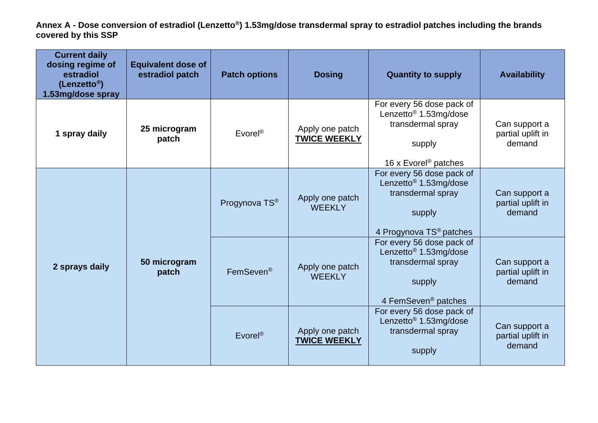**Annex A - Dose conversion of estradiol (Lenzetto®) 1.53mg/dose transdermal spray to estradiol patches including the brands covered by this SSP**

| <b>Current daily</b><br>dosing regime of<br>estradiol<br>(Lenzetto <sup>®</sup> )<br>1.53mg/dose spray | <b>Equivalent dose of</b><br>estradiol patch | <b>Patch options</b>  | <b>Dosing</b>                          | <b>Quantity to supply</b>                                                                                                            | <b>Availability</b>                          |
|--------------------------------------------------------------------------------------------------------|----------------------------------------------|-----------------------|----------------------------------------|--------------------------------------------------------------------------------------------------------------------------------------|----------------------------------------------|
| 1 spray daily                                                                                          | 25 microgram<br>patch                        | Evorel <sup>®</sup>   | Apply one patch<br><b>TWICE WEEKLY</b> | For every 56 dose pack of<br>Lenzetto <sup>®</sup> 1.53mg/dose<br>transdermal spray<br>supply<br>16 x Evorel <sup>®</sup> patches    | Can support a<br>partial uplift in<br>demand |
| 2 sprays daily                                                                                         | 50 microgram<br>patch                        | Progynova TS®         | Apply one patch<br><b>WEEKLY</b>       | For every 56 dose pack of<br>Lenzetto <sup>®</sup> 1.53mg/dose<br>transdermal spray<br>supply<br>4 Progynova TS <sup>®</sup> patches | Can support a<br>partial uplift in<br>demand |
|                                                                                                        |                                              | FemSeven <sup>®</sup> | Apply one patch<br><b>WEEKLY</b>       | For every 56 dose pack of<br>Lenzetto <sup>®</sup> 1.53mg/dose<br>transdermal spray<br>supply<br>4 FemSeven <sup>®</sup> patches     | Can support a<br>partial uplift in<br>demand |
|                                                                                                        |                                              | $E$ vorel®            | Apply one patch<br><b>TWICE WEEKLY</b> | For every 56 dose pack of<br>Lenzetto <sup>®</sup> 1.53mg/dose<br>transdermal spray<br>supply                                        | Can support a<br>partial uplift in<br>demand |